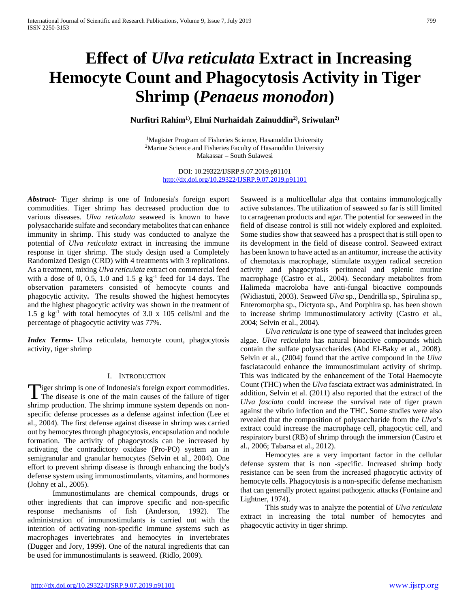# **Effect of** *Ulva reticulata* **Extract in Increasing Hemocyte Count and Phagocytosis Activity in Tiger Shrimp (***Penaeus monodon***)**

# **Nurfitri Rahim1), Elmi Nurhaidah Zainuddin2), Sriwulan2)**

1Magister Program of Fisheries Science, Hasanuddin University 2Marine Science and Fisheries Faculty of Hasanuddin University Makassar – South Sulawesi

> DOI: 10.29322/IJSRP.9.07.2019.p91101 <http://dx.doi.org/10.29322/IJSRP.9.07.2019.p91101>

*Abstract***-** Tiger shrimp is one of Indonesia's foreign export commodities. Tiger shrimp has decreased production due to various diseases. *Ulva reticulata* seaweed is known to have polysaccharide sulfate and secondary metabolites that can enhance immunity in shrimp. This study was conducted to analyze the potential of *Ulva reticulata* extract in increasing the immune response in tiger shrimp. The study design used a Completely Randomized Design (CRD) with 4 treatments with 3 replications. As a treatment, mixing *Ulva reticulata* extract on commercial feed with a dose of 0, 0.5, 1.0 and 1.5 g  $kg^{-1}$  feed for 14 days. The observation parameters consisted of hemocyte counts and phagocytic activity**.** The results showed the highest hemocytes and the highest phagocytic activity was shown in the treatment of 1.5 g  $kg^{-1}$  with total hemocytes of 3.0 x 105 cells/ml and the percentage of phagocytic activity was 77%.

*Index Terms*- Ulva reticulata, hemocyte count, phagocytosis activity, tiger shrimp

## I. INTRODUCTION

**Tiger shrimp is one of Indonesia's foreign export commodities.** Tiger shrimp is one of Indonesia's foreign export commodities.<br>The disease is one of the main causes of the failure of tiger shrimp production. The shrimp immune system depends on nonspecific defense processes as a defense against infection (Lee et al., 2004). The first defense against disease in shrimp was carried out by hemocytes through phagocytosis, encapsulation and nodule formation. The activity of phagocytosis can be increased by activating the contradictory oxidase (Pro-PO) system an in semigranular and granular hemocytes (Selvin et al., 2004). One effort to prevent shrimp disease is through enhancing the body's defense system using immunostimulants, vitamins, and hormones (Johny et al., 2005).

 Immunostimulants are chemical compounds, drugs or other ingredients that can improve specific and non-specific response mechanisms of fish (Anderson, 1992). The administration of immunostimulants is carried out with the intention of activating non-specific immune systems such as macrophages invertebrates and hemocytes in invertebrates (Dugger and Jory, 1999). One of the natural ingredients that can be used for immunostimulants is seaweed. (Ridlo, 2009).

Seaweed is a multicellular alga that contains immunologically active substances. The utilization of seaweed so far is still limited to carrageenan products and agar. The potential for seaweed in the field of disease control is still not widely explored and exploited. Some studies show that seaweed has a prospect that is still open to its development in the field of disease control. Seaweed extract has been known to have acted as an antitumor, increase the activity of chemotaxis macrophage, stimulate oxygen radical secretion activity and phagocytosis peritoneal and splenic murine macrophage (Castro et al., 2004). Secondary metabolites from Halimeda macroloba have anti-fungal bioactive compounds (Widiastuti, 2003). Seaweed *Ulva* sp., Dendrilla sp., Spirulina sp., Enteromorpha sp., Dictyota sp., And Porphira sp. has been shown to increase shrimp immunostimulatory activity (Castro et al., 2004; Selvin et al., 2004).

 *Ulva reticulata* is one type of seaweed that includes green algae. *Ulva reticulata* has natural bioactive compounds which contain the sulfate polysaccharides (Abd El-Baky et al., 2008). Selvin et al., (2004) found that the active compound in the *Ulva* fasciatacould enhance the immunostimulant activity of shrimp. This was indicated by the enhancement of the Total Haemocyte Count (THC) when the *Ulva* fasciata extract was administrated. In addition, Selvin et al. (2011) also reported that the extract of the *Ulva fasciata* could increase the survival rate of tiger prawn against the vibrio infection and the THC. Some studies were also revealed that the composition of polysaccharide from the *Ulva*'s extract could increase the macrophage cell, phagocytic cell, and respiratory burst (RB) of shrimp through the immersion (Castro et al., 2006; Tabarsa et al., 2012).

 Hemocytes are a very important factor in the cellular defense system that is non -specific. Increased shrimp body resistance can be seen from the increased phagocytic activity of hemocyte cells. Phagocytosis is a non-specific defense mechanism that can generally protect against pathogenic attacks (Fontaine and Lightner, 1974).

 This study was to analyze the potential of *Ulva reticulata* extract in increasing the total number of hemocytes and phagocytic activity in tiger shrimp.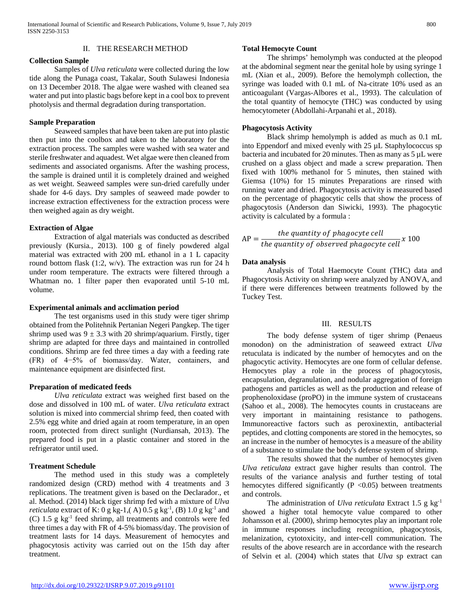#### II. THE RESEARCH METHOD

#### **Collection Sample**

 Samples of *Ulva reticulata* were collected during the low tide along the Punaga coast, Takalar, South Sulawesi Indonesia on 13 December 2018. The algae were washed with cleaned sea water and put into plastic bags before kept in a cool box to prevent photolysis and thermal degradation during transportation.

#### **Sample Preparation**

 Seaweed samples that have been taken are put into plastic then put into the coolbox and taken to the laboratory for the extraction process. The samples were washed with sea water and sterile freshwater and aquadest. Wet algae were then cleaned from sediments and associated organisms. After the washing process, the sample is drained until it is completely drained and weighed as wet weight. Seaweed samples were sun-dried carefully under shade for 4-6 days. Dry samples of seaweed made powder to increase extraction effectiveness for the extraction process were then weighed again as dry weight.

#### **Extraction of Algae**

 Extraction of algal materials was conducted as described previously (Kursia*.*, 2013). 100 g of finely powdered algal material was extracted with 200 mL ethanol in a 1 L capacity round bottom flask  $(1:2, w/v)$ . The extraction was run for 24 h under room temperature. The extracts were filtered through a Whatman no. 1 filter paper then evaporated until 5-10 mL volume.

#### **Experimental animals and acclimation period**

 The test organisms used in this study were tiger shrimp obtained from the Politehnik Pertanian Negeri Pangkep. The tiger shrimp used was  $9 \pm 3.3$  with 20 shrimp/aquarium. Firstly, tiger shrimp are adapted for three days and maintained in controlled conditions. Shrimp are fed three times a day with a feeding rate (FR) of 4−5% of biomass/day. Water, containers, and maintenance equipment are disinfected first.

## **Preparation of medicated feeds**

 *Ulva reticulata* extract was weighed first based on the dose and dissolved in 100 mL of water. *Ulva reticulata* extract solution is mixed into commercial shrimp feed, then coated with 2.5% egg white and dried again at room temperature, in an open room, protected from direct sunlight (Nurdiansah, 2013). The prepared food is put in a plastic container and stored in the refrigerator until used.

#### **Treatment Schedule**

 The method used in this study was a completely randomized design (CRD) method with 4 treatments and 3 replications. The treatment given is based on the Declarador., et al. Method. (2014) black tiger shrimp fed with a mixture of *Ulva reticulata* extract of K: 0 g kg-1,(A) 0.5 g kg<sup>-1</sup>, (B) 1.0 g kg<sup>-1</sup> and (C) 1.5 g kg-1 feed shrimp, all treatments and controls were fed three times a day with FR of 4-5% biomass/day. The provision of treatment lasts for 14 days. Measurement of hemocytes and phagocytosis activity was carried out on the 15th day after treatment.

#### **Total Hemocyte Count**

 The shrimps' hemolymph was conducted at the pleopod at the abdominal segment near the genital hole by using syringe 1 mL (Xian et al., 2009). Before the hemolymph collection, the syringe was loaded with 0.1 mL of Na-citrate 10% used as an anticoagulant (Vargas-Albores et al., 1993). The calculation of the total quantity of hemocyte (THC) was conducted by using hemocytometer (Abdollahi-Arpanahi et al., 2018).

#### **Phagocytosis Activity**

 Black shrimp hemolymph is added as much as 0.1 mL into Eppendorf and mixed evenly with 25 µL Staphylococcus sp bacteria and incubated for 20 minutes. Then as many as 5 µL were crushed on a glass object and made a screw preparation. Then fixed with 100% methanol for 5 minutes, then stained with Giemsa (10%) for 15 minutes Preparations are rinsed with running water and dried. Phagocytosis activity is measured based on the percentage of phagocytic cells that show the process of phagocytosis (Anderson dan Siwicki, 1993). The phagocytic activity is calculated by a formula :

$$
AP = \frac{the\ quantity\ of\ phagocyte\ cell}{the\ quantity\ of\ observed\ phagocyte\ cell}x\ 100
$$

#### **Data analysis**

 Analysis of Total Haemocyte Count (THC) data and Phagocytosis Activity on shrimp were analyzed by ANOVA, and if there were differences between treatments followed by the Tuckey Test.

#### III. RESULTS

 The body defense system of tiger shrimp (Penaeus monodon) on the administration of seaweed extract *Ulva* retuculata is indicated by the number of hemocytes and on the phagocytic activity. Hemocytes are one form of cellular defense. Hemocytes play a role in the process of phagocytosis, encapsulation, degranulation, and nodular aggregation of foreign pathogens and particles as well as the production and release of prophenoloxidase (proPO) in the immune system of crustaceans (Sahoo et al., 2008). The hemocytes counts in crustaceans are very important in maintaining resistance to pathogens. Immunoreactive factors such as peroxinextin, antibacterial peptides, and clotting components are stored in the hemocytes, so an increase in the number of hemocytes is a measure of the ability of a substance to stimulate the body's defense system of shrimp.

 The results showed that the number of hemocytes given *Ulva reticulata* extract gave higher results than control. The results of the variance analysis and further testing of total hemocytes differed significantly  $(P \le 0.05)$  between treatments and controls.

 The administration of *Ulva reticulata* Extract 1.5 g kg-1 showed a higher total hemocyte value compared to other Johansson et al. (2000), shrimp hemocytes play an important role in immune responses including recognition, phagocytosis, melanization, cytotoxicity, and inter-cell communication. The results of the above research are in accordance with the research of Selvin et al. (2004) which states that *Ulva* sp extract can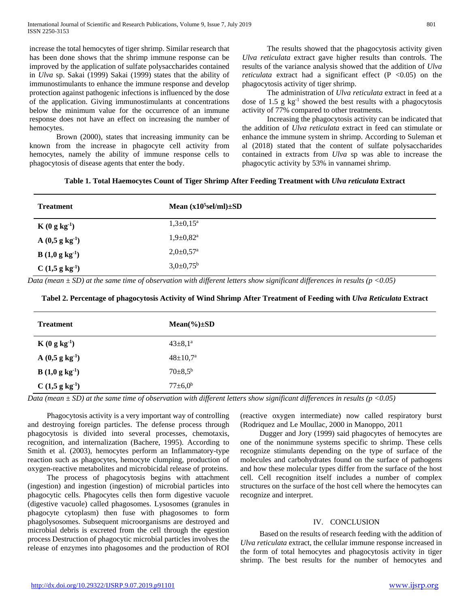increase the total hemocytes of tiger shrimp. Similar research that has been done shows that the shrimp immune response can be improved by the application of sulfate polysaccharides contained in *Ulva* sp. Sakai (1999) Sakai (1999) states that the ability of immunostimulants to enhance the immune response and develop protection against pathogenic infections is influenced by the dose of the application. Giving immunostimulants at concentrations below the minimum value for the occurrence of an immune response does not have an effect on increasing the number of hemocytes.

 Brown (2000), states that increasing immunity can be known from the increase in phagocyte cell activity from hemocytes, namely the ability of immune response cells to phagocytosis of disease agents that enter the body.

 The results showed that the phagocytosis activity given *Ulva reticulata* extract gave higher results than controls. The results of the variance analysis showed that the addition of *Ulva reticulata* extract had a significant effect  $(P \le 0.05)$  on the phagocytosis activity of tiger shrimp.

 The administration of *Ulva reticulata* extract in feed at a dose of  $1.5$  g kg<sup>-1</sup> showed the best results with a phagocytosis activity of 77% compared to other treatments.

 Increasing the phagocytosis activity can be indicated that the addition of *Ulva reticulata* extract in feed can stimulate or enhance the immune system in shrimp. According to Suleman et al (2018) stated that the content of sulfate polysaccharides contained in extracts from *Ulva* sp was able to increase the phagocytic activity by 53% in vannamei shrimp.

**Table 1. Total Haemocytes Count of Tiger Shrimp After Feeding Treatment with** *Ulva reticulata* **Extract**

| <b>Treatment</b>                   | Mean $(x10^5 \text{sel/ml}) \pm SD$ |
|------------------------------------|-------------------------------------|
| $K(0 g kg-1)$                      | $1,3\pm0,15^{\rm a}$                |
| $A(0,5 g kg-1)$                    | $1,9{\pm}0,82^{\mathrm{a}}$         |
| <b>B</b> $(1,0 \text{ g kg}^{-1})$ | $2,0 \pm 0,57$ <sup>a</sup>         |
| C(1, 5 g kg <sup>1</sup> )         | $3,0{\pm}0,75^{\rm b}$              |

*Data (mean ± SD) at the same time of observation with different letters show significant differences in results (p <0.05)*

## **Tabel 2. Percentage of phagocytosis Activity of Wind Shrimp After Treatment of Feeding with** *Ulva Reticulata* **Extract**

| <b>Treatment</b>           | $Mean(\%)\pm SD$      |
|----------------------------|-----------------------|
| $K(0 g kg-1)$              | $43 \pm 8.1^a$        |
| $A(0,5 g kg-1)$            | $48 \pm 10.7^{\rm a}$ |
| $B(1,0 g kg-1)$            | $70{\pm}8,5^{\rm b}$  |
| C(1, 5 g kg <sup>1</sup> ) | $77 \pm 6.0^b$        |

*Data (mean ± SD) at the same time of observation with different letters show significant differences in results (p <0.05)*

 Phagocytosis activity is a very important way of controlling and destroying foreign particles. The defense process through phagocytosis is divided into several processes, chemotaxis, recognition, and internalization (Bachere, 1995). According to Smith et al. (2003), hemocytes perform an Inflammatory-type reaction such as phagocytes, hemocyte clumping, production of oxygen-reactive metabolites and microbicidal release of proteins.

 The process of phagocytosis begins with attachment (ingestion) and ingestion (ingestion) of microbial particles into phagocytic cells. Phagocytes cells then form digestive vacuole (digestive vacuole) called phagosomes. Lysosomes (granules in phagocyte cytoplasm) then fuse with phagosomes to form phagolysosomes. Subsequent microorganisms are destroyed and microbial debris is excreted from the cell through the egestion process Destruction of phagocytic microbial particles involves the release of enzymes into phagosomes and the production of ROI

(reactive oxygen intermediate) now called respiratory burst (Rodriquez and Le Moullac, 2000 in Manoppo, 2011

 Dugger and Jory (1999) said phagocytes of hemocytes are one of the nonimmune systems specific to shrimp. These cells recognize stimulants depending on the type of surface of the molecules and carbohydrates found on the surface of pathogens and how these molecular types differ from the surface of the host cell. Cell recognition itself includes a number of complex structures on the surface of the host cell where the hemocytes can recognize and interpret.

#### IV. CONCLUSION

 Based on the results of research feeding with the addition of *Ulva reticulata* extract, the cellular immune response increased in the form of total hemocytes and phagocytosis activity in tiger shrimp. The best results for the number of hemocytes and